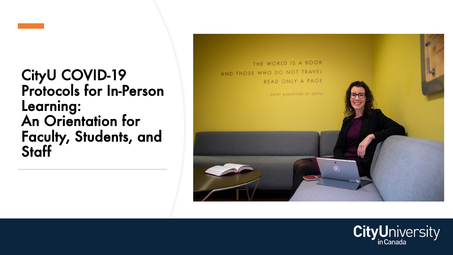

### CityU COVID-19 Protocols for In-Person Learning: An Orientation for Faculty, Students, and Staff



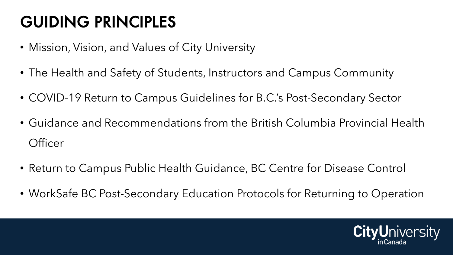## GUIDING PRINCIPLES

- Mission, Vision, and Values of City University
- The Health and Safety of Students, Instructors and Campus Community
- COVID-19 Return to Campus Guidelines for B.C.'s Post-Secondary Sector
- Guidance and Recommendations from the British Columbia Provincial Health **Officer**
- Return to Campus Public Health Guidance, BC Centre for Disease Control
- WorkSafe BC Post-Secondary Education Protocols for Returning to Operation

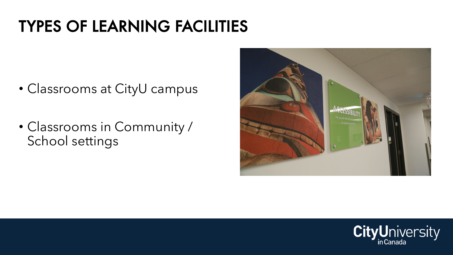## TYPES OF LEARNING FACILITIES

- Classrooms at CityU campus
- Classrooms in Community / School settings



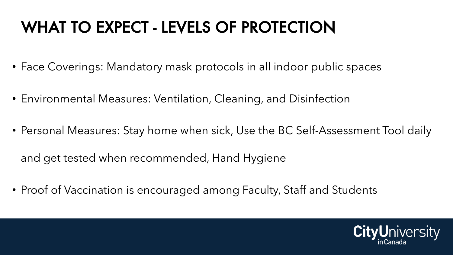## WHAT TO EXPECT - LEVELS OF PROTECTION

- Face Coverings: Mandatory mask protocols in all indoor public spaces
- Environmental Measures: Ventilation, Cleaning, and Disinfection
- Personal Measures: Stay home when sick, Use the BC Self-Assessment Tool daily

and get tested when recommended, Hand Hygiene

• Proof of Vaccination is encouraged among Faculty, Staff and Students

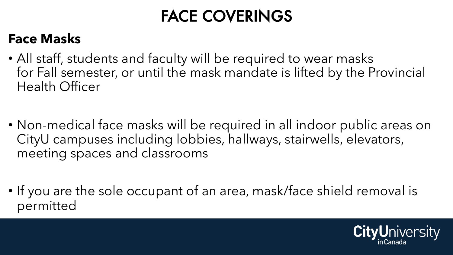## FACE COVERINGS

### **Face Masks**

- All staff, students and faculty will be required to wear masks for Fall semester, or until the mask mandate is lifted by the Provincial Health Officer
- Non-medical face masks will be required in all indoor public areas on CityU campuses including lobbies, hallways, stairwells, elevators, meeting spaces and classrooms
- If you are the sole occupant of an area, mask/face shield removal is permitted

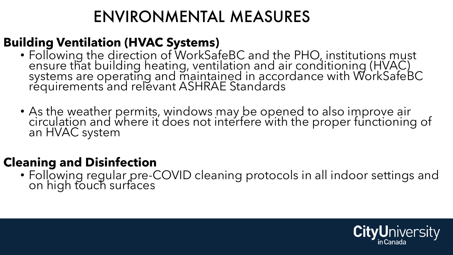## ENVIRONMENTAL MEASURES

### **Building Ventilation (HVAC Systems)**

- Following the direction of WorkSafeBC and the PHO, institutions must ensure that building heating, ventilation and air conditioning (HVAC) systems are operating and maintained in accordance with WorkSafeBC requirements'and relevant ASHRAE Standards
- As the weather permits, windows may be opened to also improve air circulation and where it does not interfere with the proper functioning of an HVAC system

#### **Cleaning and Disinfection**

• Following regular pre-COVID cleaning protocols in all indoor settings and on high touch surfaces

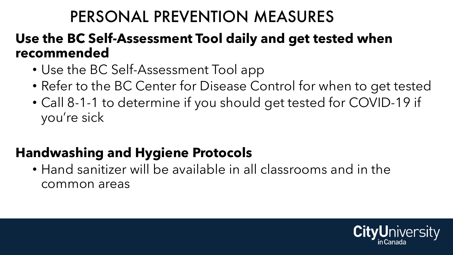### PERSONAL PREVENTION MEASURES

### **Use the BC Self-Assessment Tool daily and get tested when recommended**

- Use the BC Self-Assessment Tool app
- Refer to the BC Center for Disease Control for when to get tested
- Call 8-1-1 to determine if you should get tested for COVID-19 if you're sick

### **Handwashing and Hygiene Protocols**

• Hand sanitizer will be available in all classrooms and in the common areas

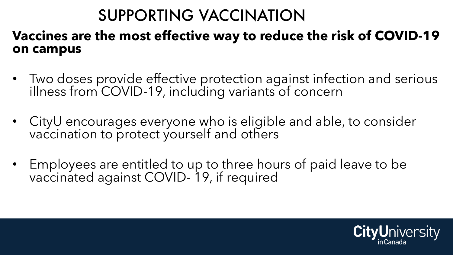## SUPPORTING VACCINATION

#### **Vaccines are the most effective way to reduce the risk of COVID-19 on campus**

- Two doses provide effective protection against infection and serious illness from COVID-19, including variants of concern
- CityU encourages everyone who is eligible and able, to consider vaccination to protect yourself and others
- Employees are entitled to up to three hours of paid leave to be vaccinated against COVID- 19, if required

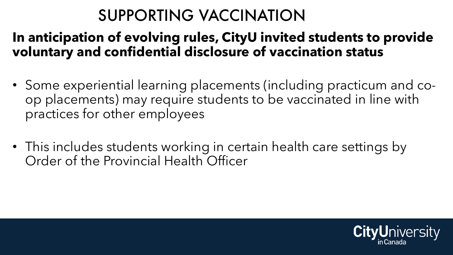## SUPPORTING VACCINATION

### **In anticipation of evolving rules, CityU invited students to provide voluntary and confidential disclosure of vaccination status**

- Some experiential learning placements (including practicum and coop placements) may require students to be vaccinated in line with practices for other employees
- This includes students working in certain health care settings by Order of the Provincial Health Officer

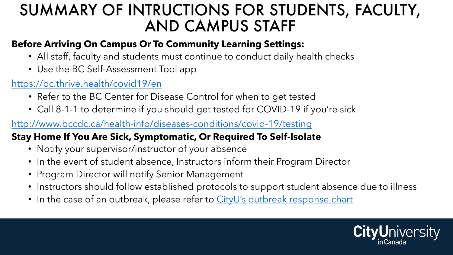### SUMMARY OF INTRUCTIONS FOR STI AND CAMPUS STAF

#### **Before Arriving On Campus Or To Community Learning Settir**

- All staff, faculty and students must continue to conduct dail
- Use the BC Self-Assessment Tool app

#### https://bc.thrive.health/covid19/en

- Refer to the BC Center for Disease Control for when to get
- Call 8-1-1 to determine if you should get tested for COVID-

http://www.bccdc.ca/health-info/diseases-conditions/covid-19/te

#### **Stay Home If You Are Sick, Symptomatic, Or Required To Self-**

- Notify your supervisor/instructor of your absence
- In the event of student absence, Instructors inform their Pro
- Program Director will notify Senior Management
- Instructors should follow established protocols to support students
- In the case of an outbreak, please refer to CityU's outbreak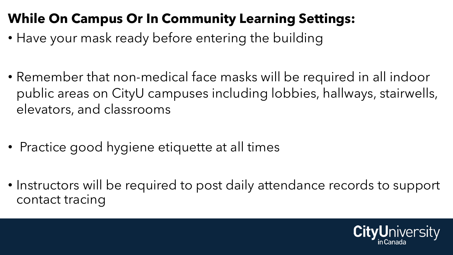### **While On Campus Or In Community Learning Settings:**

- Have your mask ready before entering the building
- Remember that non-medical face masks will be required in all indoor public areas on CityU campuses including lobbies, hallways, stairwells, elevators, and classrooms
- Practice good hygiene etiquette at all times
- Instructors will be required to post daily attendance records to support contact tracing

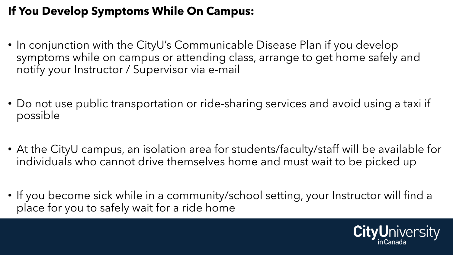#### **If You Develop Symptoms While On Campus:**

- In conjunction with the CityU's Communicable Disease Plan if you develop symptoms while on campus or attending class, arrange to get home safely and notify your Instructor / Supervisor via e-mail
- Do not use public transportation or ride-sharing services and avoid using a taxi if possible
- At the CityU campus, an isolation area for students/faculty/staff will be available for individuals who cannot drive themselves home and must wait to be picked up
- If you become sick while in a community/school setting, your Instructor will find a place for you to safely wait for a ride home

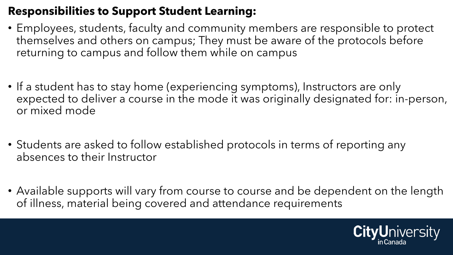#### **Responsibilities to Support Student Learning:**

- Employees, students, faculty and community members are responsible to protect themselves and others on campus; They must be aware of the protocols before returning to campus and follow them while on campus
- If a student has to stay home (experiencing symptoms), Instructors are only expected to deliver a course in the mode it was originally designated for: in-person, or mixed mode
- Students are asked to follow established protocols in terms of reporting any absences to their Instructor
- Available supports will vary from course to course and be dependent on the length of illness, material being covered and attendance requirements

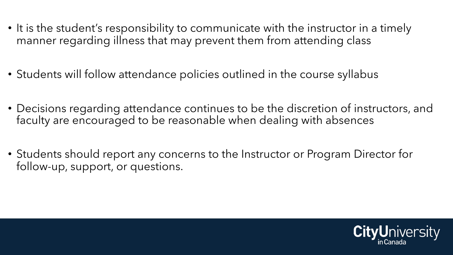- It is the student's responsibility to communicate with the instructor in a timely manner regarding illness that may prevent them from attending class
- Students will follow attendance policies outlined in the course syllabus
- Decisions regarding attendance continues to be the discretion of instructors, and faculty are encouraged to be reasonable when dealing with absences
- Students should report any concerns to the Instructor or Program Director for follow-up, support, or questions.